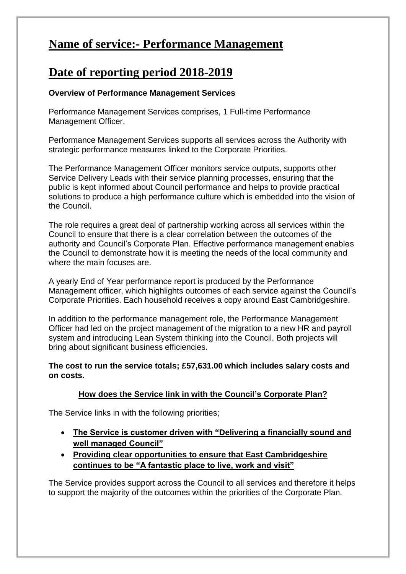## **Name of service:- Performance Management**

## **Date of reporting period 2018-2019**

#### **Overview of Performance Management Services**

Performance Management Services comprises, 1 Full-time Performance Management Officer.

Performance Management Services supports all services across the Authority with strategic performance measures linked to the Corporate Priorities.

The Performance Management Officer monitors service outputs, supports other Service Delivery Leads with their service planning processes, ensuring that the public is kept informed about Council performance and helps to provide practical solutions to produce a high performance culture which is embedded into the vision of the Council.

The role requires a great deal of partnership working across all services within the Council to ensure that there is a clear correlation between the outcomes of the authority and Council's Corporate Plan. Effective performance management enables the Council to demonstrate how it is meeting the needs of the local community and where the main focuses are.

A yearly End of Year performance report is produced by the Performance Management officer, which highlights outcomes of each service against the Council's Corporate Priorities. Each household receives a copy around East Cambridgeshire.

In addition to the performance management role, the Performance Management Officer had led on the project management of the migration to a new HR and payroll system and introducing Lean System thinking into the Council. Both projects will bring about significant business efficiencies.

**The cost to run the service totals; £57,631.00 which includes salary costs and on costs.** 

### **How does the Service link in with the Council's Corporate Plan?**

The Service links in with the following priorities;

- **The Service is customer driven with "Delivering a financially sound and well managed Council"**
- **Providing clear opportunities to ensure that East Cambridgeshire continues to be "A fantastic place to live, work and visit"**

The Service provides support across the Council to all services and therefore it helps to support the majority of the outcomes within the priorities of the Corporate Plan.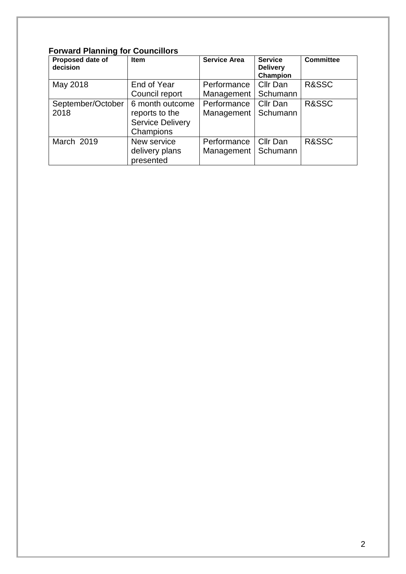### **Forward Planning for Councillors**

| Proposed date of<br>decision | Item                    | <b>Service Area</b> | <b>Service</b><br><b>Delivery</b><br>Champion | <b>Committee</b> |
|------------------------------|-------------------------|---------------------|-----------------------------------------------|------------------|
| May 2018                     | End of Year             | Performance         | Cllr Dan                                      | R&SSC            |
|                              | Council report          | Management          | Schumann                                      |                  |
| September/October            | 6 month outcome         | Performance         | Cllr Dan                                      | R&SSC            |
| 2018                         | reports to the          | Management          | Schumann                                      |                  |
|                              | <b>Service Delivery</b> |                     |                                               |                  |
|                              | Champions               |                     |                                               |                  |
| March 2019                   | New service             | Performance         | Cllr Dan                                      | R&SSC            |
|                              | delivery plans          | Management          | Schumann                                      |                  |
|                              | presented               |                     |                                               |                  |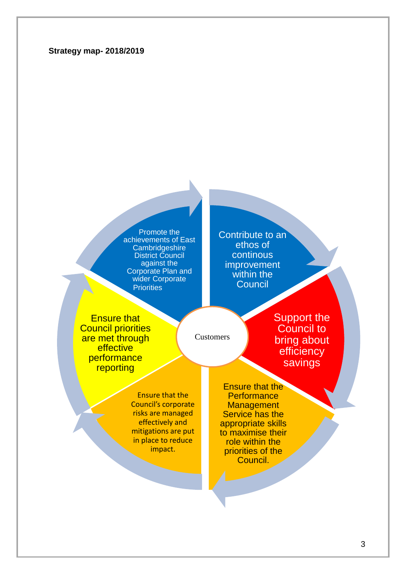#### **Strategy map- 2018/2019**

Promote the achievements of East **Cambridgeshire** District Council against the Corporate Plan and wider Corporate **Priorities** 

Contribute to an ethos of continous improvement within the **Council** 

Ensure that Council priorities are met through **effective** performance reporting

Customers

Support the Council to bring about efficiency savings

Ensure that the Council's corporate risks are managed effectively and mitigations are put in place to reduce impact.

Ensure that the **Performance Management** Service has the appropriate skills to maximise their role within the priorities of the Council.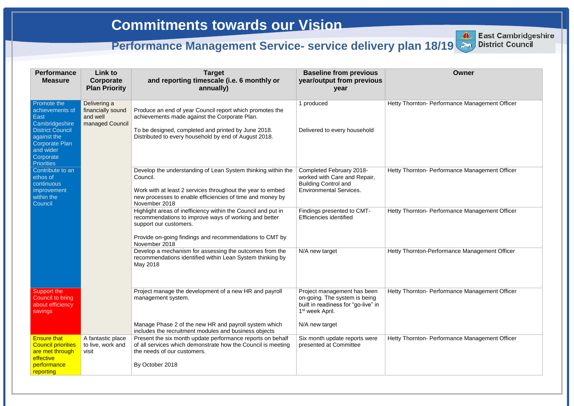### **Owner**

Performance Management Officer

Performance Management Officer

Performance Management Officer

**erformance Management Officer** 

Performance Management Officer

Performance Management Officer

| <b>Performance</b><br><b>Measure</b>                                                                                                                         | Link to<br>Corporate<br><b>Plan Priority</b>                     | <b>Target</b><br>and reporting timescale (i.e. 6 monthly or<br>annually)                                                                                                                                                     | <b>Baseline from previous</b><br>year/output from previous<br>year                                                                 |                   |
|--------------------------------------------------------------------------------------------------------------------------------------------------------------|------------------------------------------------------------------|------------------------------------------------------------------------------------------------------------------------------------------------------------------------------------------------------------------------------|------------------------------------------------------------------------------------------------------------------------------------|-------------------|
| Promote the<br>achievements of<br><b>East</b><br>Cambridgeshire<br><b>District Council</b><br>against the<br><b>Corporate Plan</b><br>and wider<br>Corporate | Delivering a<br>financially sound<br>and well<br>managed Council | Produce an end of year Council report which promotes the<br>achievements made against the Corporate Plan.<br>To be designed, completed and printed by June 2018.<br>Distributed to every household by end of August 2018.    | 1 produced<br>Delivered to every household                                                                                         | Hetty Thornton- P |
| <b>Priorities</b><br>Contribute to an<br>ethos of<br>continuous<br>improvement<br>within the<br>Council                                                      |                                                                  | Develop the understanding of Lean System thinking within the<br>Council.<br>Work with at least 2 services throughout the year to embed<br>new processes to enable efficiencies of time and money by<br>November 2018         | Completed February 2018-<br>worked with Care and Repair,<br><b>Building Control and</b><br><b>Environmental Services.</b>          | Hetty Thornton- P |
|                                                                                                                                                              |                                                                  | Highlight areas of inefficiency within the Council and put in<br>recommendations to improve ways of working and better<br>support our customers.<br>Provide on-going findings and recommendations to CMT by<br>November 2018 | Findings presented to CMT-<br><b>Efficiencies identified</b>                                                                       | Hetty Thornton- P |
|                                                                                                                                                              |                                                                  | Develop a mechanism for assessing the outcomes from the<br>recommendations identified within Lean System thinking by<br>May 2018                                                                                             | N/A new target                                                                                                                     | Hetty Thornton-Pe |
| Support the<br>Council to bring<br>about efficiency<br>savings                                                                                               |                                                                  | Project manage the development of a new HR and payroll<br>management system.                                                                                                                                                 | Project management has been<br>on-going. The system is being<br>built in readiness for "go-live" in<br>1 <sup>st</sup> week April. | Hetty Thornton- P |
|                                                                                                                                                              |                                                                  | Manage Phase 2 of the new HR and payroll system which<br>includes the recruitment modules and business objects                                                                                                               | N/A new target                                                                                                                     |                   |
| <b>Ensure that</b><br><b>Council priorities</b><br>are met through<br>effective                                                                              | A fantastic place<br>to live, work and<br>visit                  | Present the six month update performance reports on behalf<br>of all services which demonstrate how the Council is meeting<br>the needs of our customers.                                                                    | Six month update reports were<br>presented at Committee                                                                            | Hetty Thornton- P |
| performance<br>reporting                                                                                                                                     |                                                                  | By October 2018                                                                                                                                                                                                              |                                                                                                                                    |                   |



**East Cambridgeshire District Council**

# **Commitments towards our Vision**

# **Performance Management Service- service delivery plan 18/19 <b>District Council**